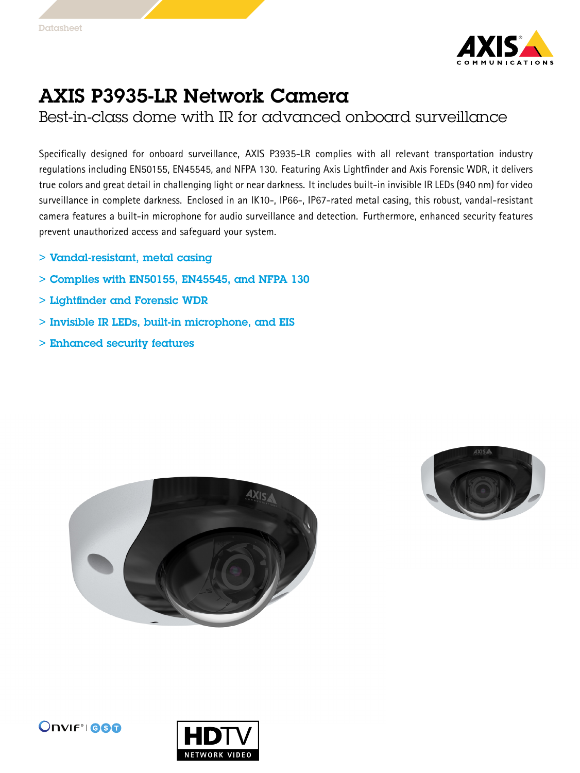

## AXIS P3935-LR Network Camera

Best-in-class dome with IR for advanced onboard surveillance

Specifically designed for onboard surveillance, AXIS P3935-LR complies with all relevant transportation industry regulations including EN50155, EN45545, and NFPA 130. Featuring Axis Lightfinder and Axis Forensic WDR, it delivers true colors and great detail in challenging light or near darkness. It includes built-in invisible IR LEDs (940 nm) for video surveillance in complete darkness. Enclosed in an IK10-, IP66-, IP67-rated metal casing, this robust, vandal-resistant camera features <sup>a</sup> built-in microphone for audio surveillance and detection. Furthermore, enhanced security features prevent unauthorized access and safeguard your system.

- > Vandal-resistant, metal casing
- $>$  Complies with EN50155, EN45545, and NFPA 130
- > Lightfinder and Forensic WDR
- > Invisible IR LEDs, built-in microphone, and EIS
- > Enhanced security features







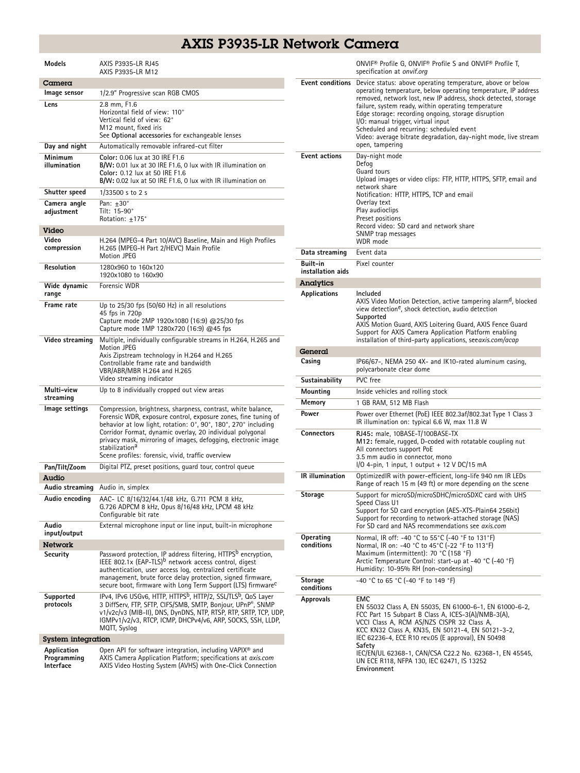## AXIS P3935-LR Network Camera

| Models                                  | AXIS P3935-LR RJ45<br>AXIS P3935-LR M12                                                                                                                                                                                                                                                                                                                                                                            |
|-----------------------------------------|--------------------------------------------------------------------------------------------------------------------------------------------------------------------------------------------------------------------------------------------------------------------------------------------------------------------------------------------------------------------------------------------------------------------|
| Camera                                  |                                                                                                                                                                                                                                                                                                                                                                                                                    |
| Image sensor                            | 1/2.9" Progressive scan RGB CMOS                                                                                                                                                                                                                                                                                                                                                                                   |
| Lens                                    | 2.8 mm, F1.6<br>Horizontal field of view: 110°<br>Vertical field of view: 62°<br>M12 mount, fixed iris<br>See Optional accessories for exchangeable lenses                                                                                                                                                                                                                                                         |
| Day and night                           | Automatically removable infrared-cut filter                                                                                                                                                                                                                                                                                                                                                                        |
| Minimum<br>illumination                 | Color: 0.06 lux at 30 IRE F1.6<br>B/W: 0.01 lux at 30 IRE F1.6, 0 lux with IR illumination on<br>Color: 0.12 lux at 50 IRE F1.6<br>B/W: 0.02 lux at 50 IRE F1.6, 0 lux with IR illumination on                                                                                                                                                                                                                     |
| Shutter speed                           | 1/33500 s to 2 s                                                                                                                                                                                                                                                                                                                                                                                                   |
| Camera angle<br>adjustment              | Pan: $+30^\circ$<br>Tilt: 15-90°<br>Rotation: ±175°                                                                                                                                                                                                                                                                                                                                                                |
| Video                                   |                                                                                                                                                                                                                                                                                                                                                                                                                    |
| Video<br>compression                    | H.264 (MPEG-4 Part 10/AVC) Baseline, Main and High Profiles<br>H.265 (MPEG-H Part 2/HEVC) Main Profile<br>Motion JPEG                                                                                                                                                                                                                                                                                              |
| Resolution                              | 1280x960 to 160x120<br>1920x1080 to 160x90                                                                                                                                                                                                                                                                                                                                                                         |
| Wide dynamic<br>range                   | Forensic WDR                                                                                                                                                                                                                                                                                                                                                                                                       |
| Frame rate                              | Up to 25/30 fps (50/60 Hz) in all resolutions<br>45 fps in 720p<br>Capture mode 2MP 1920x1080 (16:9) @25/30 fps<br>Capture mode 1MP 1280x720 (16:9) @45 fps                                                                                                                                                                                                                                                        |
| Video streaming                         | Multiple, individually configurable streams in H.264, H.265 and<br>Motion JPEG<br>Axis Zipstream technology in H.264 and H.265<br>Controllable frame rate and bandwidth<br>VBR/ABR/MBR H.264 and H.265<br>Video streaming indicator                                                                                                                                                                                |
| Multi-view<br>streaming                 | Up to 8 individually cropped out view areas                                                                                                                                                                                                                                                                                                                                                                        |
| lmage settings                          | Compression, brightness, sharpness, contrast, white balance,<br>Forensic WDR, exposure control, exposure zones, fine tuning of<br>behavior at low light, rotation: 0°, 90°, 180°, 270° including<br>Corridor Format, dynamic overlay, 20 individual polygonal<br>privacy mask, mirroring of images, defogging, electronic image<br>stabilization <sup>a</sup><br>Scene profiles: forensic, vivid, traffic overview |
| Pan/Tilt/Zoom                           | Digital PTZ, preset positions, guard tour, control queue                                                                                                                                                                                                                                                                                                                                                           |
| Audio                                   |                                                                                                                                                                                                                                                                                                                                                                                                                    |
|                                         | <b>Audio streaming</b> Audio in, simplex                                                                                                                                                                                                                                                                                                                                                                           |
| Audio encoding                          | AAC- LC 8/16/32/44.1/48 kHz, G.711 PCM 8 kHz,<br>G.726 ADPCM 8 kHz, Opus 8/16/48 kHz, LPCM 48 kHz<br>Configurable bit rate                                                                                                                                                                                                                                                                                         |
| Audio<br>input/output                   | External microphone input or line input, built-in microphone                                                                                                                                                                                                                                                                                                                                                       |
| <b>Network</b>                          |                                                                                                                                                                                                                                                                                                                                                                                                                    |
| Security                                | Password protection, IP address filtering, HTTPS <sup>b</sup> encryption,<br>IEEE 802.1x (EAP-TLS) <sup>b</sup> network access control, digest<br>authentication, user access log, centralized certificate<br>management, brute force delay protection, signed firmware,<br>secure boot, firmware with Long Term Support (LTS) firmware <sup>C</sup>                                                               |
| Supported<br>protocols                  | IPv4, IPv6 USGv6, HTTP, HTTPS <sup>b</sup> , HTTP/2, SSL/TLS <sup>b</sup> , QoS Layer<br>3 DiffServ, FTP, SFTP, CIFS/SMB, SMTP, Bonjour, UPnP®, SNMP<br>v1/v2c/v3 (MIB-II), DNS, DynDNS, NTP, RTSP, RTP, SRTP, TCP, UDP,<br>IGMPv1/v2/v3, RTCP, ICMP, DHCPv4/v6, ARP, SOCKS, SSH, LLDP,<br>MQTT, Syslog                                                                                                            |
| System integration                      |                                                                                                                                                                                                                                                                                                                                                                                                                    |
| Application<br>Programming<br>Interface | Open API for software integration, including VAPIX <sup>®</sup> and<br>AXIS Camera Application Platform; specifications at axis.com<br>AXIS Video Hosting System (AVHS) with One-Click Connection                                                                                                                                                                                                                  |

|                                      | ONVIF <sup>®</sup> Profile G, ONVIF® Profile S and ONVIF® Profile T,<br>specification at onvif.org                                                                                                                                                                                                                                                                                                                                                                                   |
|--------------------------------------|--------------------------------------------------------------------------------------------------------------------------------------------------------------------------------------------------------------------------------------------------------------------------------------------------------------------------------------------------------------------------------------------------------------------------------------------------------------------------------------|
| <b>Event conditions</b>              | Device status: above operating temperature, above or below<br>operating temperature, below operating temperature, IP address<br>removed, network lost, new IP address, shock detected, storage<br>failure, system ready, within operating temperature<br>Edge storage: recording ongoing, storage disruption<br>I/O: manual trigger, virtual input<br>Scheduled and recurring: scheduled event<br>Video: average bitrate degradation, day-night mode, live stream<br>open, tampering |
| <b>Event actions</b>                 | Day-night mode<br>Defog<br>Guard tours<br>Upload images or video clips: FTP, HTTP, HTTPS, SFTP, email and<br>network share<br>Notification: HTTP, HTTPS, TCP and email<br>Overlay text<br>Play audioclips<br>Preset positions<br>Record video: SD card and network share<br>SNMP trap messages<br>WDR mode                                                                                                                                                                           |
| Data streaming                       | Event data                                                                                                                                                                                                                                                                                                                                                                                                                                                                           |
| <b>Built-in</b><br>installation aids | Pixel counter                                                                                                                                                                                                                                                                                                                                                                                                                                                                        |
| <b>Analytics</b>                     |                                                                                                                                                                                                                                                                                                                                                                                                                                                                                      |
| Applications                         | Included<br>AXIS Video Motion Detection, active tampering alarm <sup>d</sup> , blocked<br>view detection <sup>e</sup> , shock detection, audio detection<br>Supported<br>AXIS Motion Guard, AXIS Loitering Guard, AXIS Fence Guard<br>Support for AXIS Camera Application Platform enabling<br>installation of third-party applications, see <i>axis.com/acap</i>                                                                                                                    |
| General                              |                                                                                                                                                                                                                                                                                                                                                                                                                                                                                      |
| Casing                               | IP66/67-, NEMA 250 4X- and IK10-rated aluminum casing,<br>polycarbonate clear dome                                                                                                                                                                                                                                                                                                                                                                                                   |
| Sustainability                       | PVC free                                                                                                                                                                                                                                                                                                                                                                                                                                                                             |
| Mounting                             | Inside vehicles and rolling stock                                                                                                                                                                                                                                                                                                                                                                                                                                                    |
| Memory                               | 1 GB RAM, 512 MB Flash                                                                                                                                                                                                                                                                                                                                                                                                                                                               |
| Power                                | Power over Ethernet (PoE) IEEE 802.3af/802.3at Type 1 Class 3<br>IR illumination on: typical 6.6 W, max 11.8 W                                                                                                                                                                                                                                                                                                                                                                       |
| <b>Connectors</b>                    | RJ45: male, 10BASE-T/100BASE-TX<br>M12: female, rugged, D-coded with rotatable coupling nut<br>All connectors support PoE<br>3.5 mm audio in connector, mono<br>$1/0$ 4-pin, 1 input, 1 output + 12 V DC/15 mA                                                                                                                                                                                                                                                                       |
| <b>IR</b> illumination               | OptimizedIR with power-efficient, long-life 940 nm IR LEDs<br>Range of reach 15 m (49 ft) or more depending on the scene                                                                                                                                                                                                                                                                                                                                                             |
| Storage                              | Support for microSD/microSDHC/microSDXC card with UHS<br>Speed Class U1<br>Support for SD card encryption (AES-XTS-Plain64 256bit)<br>Support for recording to network-attached storage (NAS)<br>For SD card and NAS recommendations see axis.com                                                                                                                                                                                                                                    |
| Operating<br>conditions              | Normal, IR off: -40 °C to 55°C (-40 °F to 131°F)<br>Normal, IR on: -40 °C to 45°C (-22 °F to 113°F)<br>Maximum (intermittent): 70 °C (158 °F)<br>Arctic Temperature Control: start-up at -40 °C (-40 °F)<br>Humidity: 10-95% RH (non-condensing)                                                                                                                                                                                                                                     |
| <b>Storage</b><br>conditions         | -40 °C to 65 °C (-40 °F to 149 °F)                                                                                                                                                                                                                                                                                                                                                                                                                                                   |
| Approvals                            | EMC<br>EN 55032 Class A, EN 55035, EN 61000-6-1, EN 61000-6-2,<br>FCC Part 15 Subpart B Class A, ICES-3(A)/NMB-3(A),<br>VCCI Class A, RCM AS/NZS CISPR 32 Class A,<br>KCC KN32 Class A, KN35, EN 50121-4, EN 50121-3-2,<br>IEC 62236-4, ECE R10 rev.05 (E approval), EN 50498<br>Safety<br>IEC/EN/UL 62368-1, CAN/CSA C22.2 No. 62368-1, EN 45545,<br>UN ECE R118, NFPA 130, IEC 62471, IS 13252<br>Environment                                                                      |